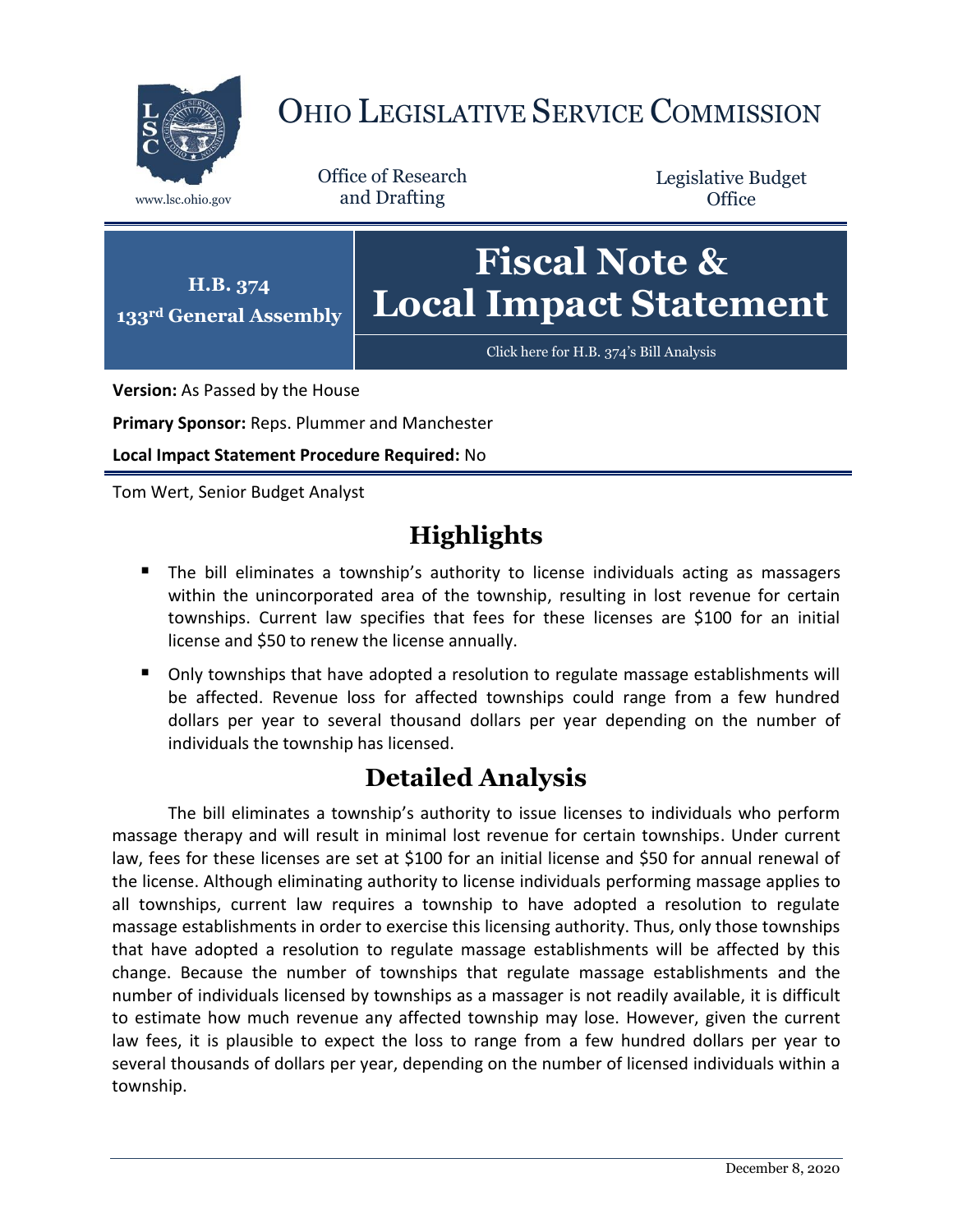

## OHIO LEGISLATIVE SERVICE COMMISSION

Office of Research www.lsc.ohio.gov and Drafting

Legislative Budget **Office** 



**Version:** As Passed by the House

**Primary Sponsor:** Reps. Plummer and Manchester

**Local Impact Statement Procedure Required:** No

Tom Wert, Senior Budget Analyst

## **Highlights**

- The bill eliminates a township's authority to license individuals acting as massagers within the unincorporated area of the township, resulting in lost revenue for certain townships. Current law specifies that fees for these licenses are \$100 for an initial license and \$50 to renew the license annually.
- Only townships that have adopted a resolution to regulate massage establishments will be affected. Revenue loss for affected townships could range from a few hundred dollars per year to several thousand dollars per year depending on the number of individuals the township has licensed.

## **Detailed Analysis**

The bill eliminates a township's authority to issue licenses to individuals who perform massage therapy and will result in minimal lost revenue for certain townships. Under current law, fees for these licenses are set at \$100 for an initial license and \$50 for annual renewal of the license. Although eliminating authority to license individuals performing massage applies to all townships, current law requires a township to have adopted a resolution to regulate massage establishments in order to exercise this licensing authority. Thus, only those townships that have adopted a resolution to regulate massage establishments will be affected by this change. Because the number of townships that regulate massage establishments and the number of individuals licensed by townships as a massager is not readily available, it is difficult to estimate how much revenue any affected township may lose. However, given the current law fees, it is plausible to expect the loss to range from a few hundred dollars per year to several thousands of dollars per year, depending on the number of licensed individuals within a township.